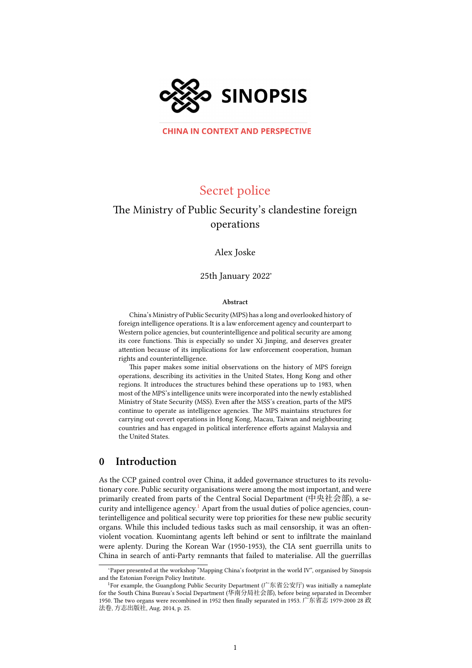

**CHINA IN CONTEXT AND PERSPECTIVE** 

# Secret police

# The Ministry of Public Security's clandestine foreign operations

Alex Joske

25th January 2022<sup>∗</sup>

#### Abstract

China's Ministry of Public Security (MPS) has a long and overlooked history of foreign intelligence operations. It is a law enforcement agency and counterpart to Western police agencies, but counterintelligence and political security are among its core functions. This is especially so under Xi Jinping, and deserves greater attention because of its implications for law enforcement cooperation, human rights and counterintelligence.

This paper makes some initial observations on the history of MPS foreign operations, describing its activities in the United States, Hong Kong and other regions. It introduces the structures behind these operations up to 1983, when most of the MPS's intelligence units were incorporated into the newly established Ministry of State Security (MSS). Even after the MSS's creation, parts of the MPS continue to operate as intelligence agencies. The MPS maintains structures for carrying out covert operations in Hong Kong, Macau, Taiwan and neighbouring countries and has engaged in political interference efforts against Malaysia and the United States.

## 0 Introduction

As the CCP gained control over China, it added governance structures to its revolutionary core. Public security organisations were among the most important, and were primarily created from parts of the Central Social Department (中央社会部), a se-curity and intelligence agency.<sup>[1](#page-0-0)</sup> Apart from the usual duties of police agencies, counterintelligence and political security were top priorities for these new public security organs. While this included tedious tasks such as mail censorship, it was an oftenviolent vocation. Kuomintang agents left behind or sent to infiltrate the mainland were aplenty. During the Korean War (1950-1953), the CIA sent guerrilla units to China in search of anti-Party remnants that failed to materialise. All the guerrillas

<sup>∗</sup>Paper presented at the workshop "Mapping China's footprint in the world IV", organised by Sinopsis and the Estonian Foreign Policy Institute.

<span id="page-0-0"></span><sup>&</sup>lt;sup>1</sup>For example, the Guangdong Public Security Department (广东省公安厅) was initially a nameplate for the South China Bureau's Social Department (华南分局社会部), before being separated in December 1950. The two organs were recombined in 1952 then finally separated in 1953. 广东省志 1979-2000 28 政 法卷, 方志出版社, Aug. 2014, p. 25.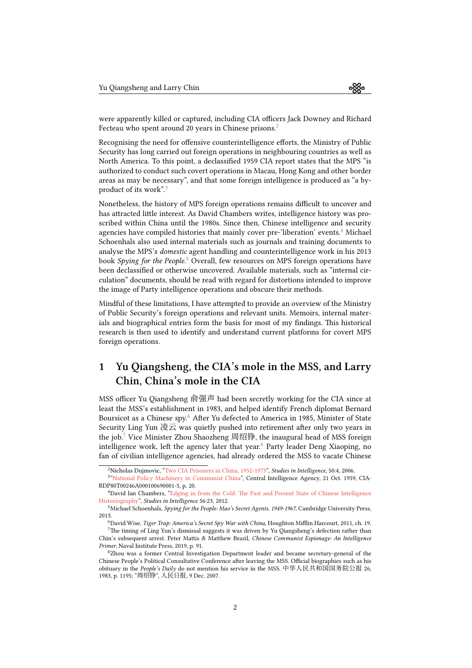were apparently killed or captured, including CIA officers Jack Downey and Richard Fecteau who spent around [2](#page-1-0)0 years in Chinese prisons.<sup>2</sup>

Recognising the need for offensive counterintelligence efforts, the Ministry of Public Security has long carried out foreign operations in neighbouring countries as well as North America. To this point, a declassified 1959 CIA report states that the MPS "is authorized to conduct such covert operations in Macau, Hong Kong and other border areas as may be necessary", and that some foreign intelligence is produced as "a byproduct of its work".[3](#page-1-1)

Nonetheless, the history of MPS foreign operations remains difficult to uncover and has attracted little interest. As David Chambers writes, intelligence history was proscribed within China until the 1980s. Since then, Chinese intelligence and security agencies have compiled histories that mainly cover pre-'liberation' events.<sup>[4](#page-1-2)</sup> Michael Schoenhals also used internal materials such as journals and training documents to analyse the MPS's domestic agent handling and counterintelligence work in his 2013 book Spying for the People.<sup>[5](#page-1-3)</sup> Overall, few resources on MPS foreign operations have been declassified or otherwise uncovered. Available materials, such as "internal circulation" documents, should be read with regard for distortions intended to improve the image of Party intelligence operations and obscure their methods.

Mindful of these limitations, I have attempted to provide an overview of the Ministry of Public Security's foreign operations and relevant units. Memoirs, internal materials and biographical entries form the basis for most of my findings. This historical research is then used to identify and understand current platforms for covert MPS foreign operations.

## 1 Yu Qiangsheng, the CIA's mole in the MSS, and Larry Chin, China's mole in the CIA

MSS officer Yu Qiangsheng 俞强声 had been secretly working for the CIA since at least the MSS's establishment in 1983, and helped identify French diplomat Bernard Boursicot as a Chinese spy.[6](#page-1-4) After Yu defected to America in 1985, Minister of State Security Ling Yun 凌云 was quietly pushed into retirement after only two years in the job.<sup>[7](#page-1-5)</sup> Vice Minister Zhou Shaozheng 周绍铮, the inaugural head of MSS foreign intelligence work, left the agency later that year.<sup>[8](#page-1-6)</sup> Party leader Deng Xiaoping, no fan of civilian intelligence agencies, had already ordered the MSS to vacate Chinese

<span id="page-1-1"></span><span id="page-1-0"></span> $^2$ NicholasDujmovic, "[Two CIA Prisoners in China, 1952-1973"](https://www.cia.gov/static/ae841938f772d4185b5c3b5d94f01c4a/Two-CIA-Prisoners-China.pdf), Studies in Intelligence, 50:4, 2006.

<sup>&</sup>lt;sup>3</sup> ["National Policy Machinery in Communist China"](https://www.cia.gov/readingroom/docs/CIA-RDP80T00246A000100690001-4.pdf), Central Intelligence Agency, 21 Oct. 1959, CIA-RDP80T00246A000100690001-5, p. 20.

<span id="page-1-2"></span><sup>4</sup>David Ian Chambers,"[Edging in from the Cold: The Past and Present State of Chinese Intelligence](https://www.cia.gov/static/b3688b3edc705d9168e8de998d78aad1/Edging-in-from-Cold.pdf) [Historiography"](https://www.cia.gov/static/b3688b3edc705d9168e8de998d78aad1/Edging-in-from-Cold.pdf), Studies in Intelligence 56:23, 2012.

<span id="page-1-3"></span><sup>5</sup>Michael Schoenhals, Spying for the People: Mao's Secret Agents. 1949-1967, Cambridge University Press, 2013.

<span id="page-1-5"></span><span id="page-1-4"></span> $6$ David Wise, Tiger Trap: America's Secret Spy War with China, Houghton Mifflin Harcourt, 2011, ch. 19.  ${\rm ^7}$  The timing of Ling Yun's dismissal suggests it was driven by Yu Qiangsheng's defection rather than Chin's subsequent arrest. Peter Mattis & Matthew Brazil, Chinese Communist Espionage: An Intelligence Primer, Naval Institute Press, 2019, p. 91.

<span id="page-1-6"></span><sup>8</sup>Zhou was a former Central Investigation Department leader and became secretary-general of the Chinese People's Political Consultative Conference after leaving the MSS. Official biographies such as his obituary in the People's Daily do not mention his service in the MSS. 中华人民共和国国务院公报 26, 1983, p. 1195; "周绍铮", 人民日报, 9 Dec. 2007.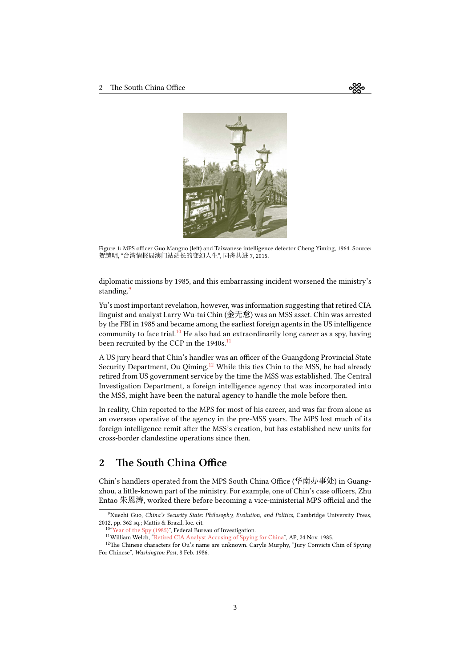<span id="page-2-4"></span>

Figure 1: MPS officer Guo Manguo (left) and Taiwanese intelligence defector Cheng Yiming, 1964. Source: 贺越明, "台湾情报局澳门站站长的变幻人生", 同舟共进 7, 2015.

diplomatic missions by 1985, and this embarrassing incident worsened the ministry's standing.<sup>[9](#page-2-0)</sup>

Yu's most important revelation, however, was information suggesting that retired CIA linguist and analyst Larry Wu-tai Chin (金无怠) was an MSS asset. Chin was arrested by the FBI in 1985 and became among the earliest foreign agents in the US intelligence community to face trial.<sup>[10](#page-2-1)</sup> He also had an extraordinarily long career as a spy, having been recruited by the CCP in the 1940s.<sup>[11](#page-2-2)</sup>

A US jury heard that Chin's handler was an officer of the Guangdong Provincial State Security Department, Ou Qiming.<sup>[12](#page-2-3)</sup> While this ties Chin to the MSS, he had already retired from US government service by the time the MSS was established. The Central Investigation Department, a foreign intelligence agency that was incorporated into the MSS, might have been the natural agency to handle the mole before then.

In reality, Chin reported to the MPS for most of his career, and was far from alone as an overseas operative of the agency in the pre-MSS years. The MPS lost much of its foreign intelligence remit after the MSS's creation, but has established new units for cross-border clandestine operations since then.

## 2 The South China Office

Chin's handlers operated from the MPS South China Office (华南办事处) in Guangzhou, a little-known part of the ministry. For example, one of Chin's case officers, Zhu Entao 朱恩涛, worked there before becoming a vice-ministerial MPS official and the

≪

<span id="page-2-0"></span><sup>&</sup>lt;sup>9</sup>Xuezhi Guo, China's Security State: Philosophy, Evolution, and Politics, Cambridge University Press, 2012, pp. 362 sq.; Mattis & Brazil, loc. cit.

<span id="page-2-1"></span><sup>10</sup> Year of the Spy (1985)", Federal Bureau of Investigation.

<span id="page-2-3"></span><span id="page-2-2"></span><sup>11</sup>William Welch, ["Retired CIA Analyst Accusing of Spying for China](https://apnews.com/article/c013c09ddc69d5475ed3df00a81ad53a)", AP, 24 Nov. 1985.

<sup>&</sup>lt;sup>12</sup>The Chinese characters for Ou's name are unknown. Caryle Murphy, "Jury Convicts Chin of Spying For Chinese", Washington Post, 8 Feb. 1986.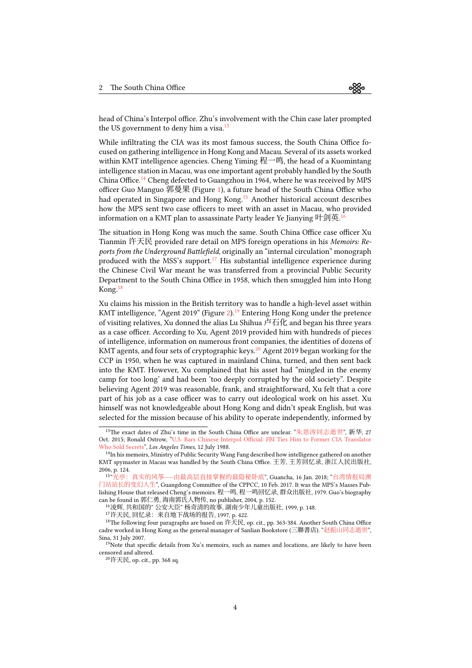head of China's Interpol office. Zhu's involvement with the Chin case later prompted the US government to deny him a visa. $13$ 

While infiltrating the CIA was its most famous success, the South China Office focused on gathering intelligence in Hong Kong and Macau. Several of its assets worked within KMT intelligence agencies. Cheng Yiming 程一鸣, the head of a Kuomintang intelligence station in Macau, was one important agent probably handled by the South China Office.<sup>[14](#page-3-1)</sup> Cheng defected to Guangzhou in 1964, where he was received by MPS officer Guo Manguo 郭曼果 (Figure [1\)](#page-2-4), a future head of the South China Office who had operated in Singapore and Hong Kong.<sup>[15](#page-3-2)</sup> Another historical account describes how the MPS sent two case officers to meet with an asset in Macau, who provided information on a KMT plan to assassinate Party leader Ye Jianying 叶剑英. $^{16}$  $^{16}$  $^{16}$ 

The situation in Hong Kong was much the same. South China Office case officer Xu Tianmin 许天民 provided rare detail on MPS foreign operations in his Memoirs: Reports from the Underground Battlefield, originally an "internal circulation" monograph produced with the MSS's support.<sup>[17](#page-3-4)</sup> His substantial intelligence experience during the Chinese Civil War meant he was transferred from a provincial Public Security Department to the South China Office in 1958, which then smuggled him into Hong Kong.[18](#page-3-5)

Xu claims his mission in the British territory was to handle a high-level asset within KMT intelligence, "Agent 2019" (Figure [2\)](#page-4-0).<sup>[19](#page-3-6)</sup> Entering Hong Kong under the pretence of visiting relatives, Xu donned the alias Lu Shihua 卢石化 and began his three years as a case officer. According to Xu, Agent 2019 provided him with hundreds of pieces of intelligence, information on numerous front companies, the identities of dozens of KMT agents, and four sets of cryptographic keys.<sup>[20](#page-3-7)</sup> Agent 2019 began working for the CCP in 1950, when he was captured in mainland China, turned, and then sent back into the KMT. However, Xu complained that his asset had "mingled in the enemy camp for too long' and had been 'too deeply corrupted by the old society". Despite believing Agent 2019 was reasonable, frank, and straightforward, Xu felt that a core part of his job as a case officer was to carry out ideological work on his asset. Xu himself was not knowledgeable about Hong Kong and didn't speak English, but was selected for the mission because of his ability to operate independently, informed by

<span id="page-3-0"></span><sup>&</sup>lt;sup>13</sup>The exact dates of Zhu's time in the South China Office are unclear. "[朱恩涛同志逝世](https://web.archive.org/web/20200712075822/http://www.xinhuanet.com/politics/2015-10/27/c_1116956138.htm)", 新华, 27 Oct. 2015; Ronald Ostrow, ["U.S. Bars Chinese Interpol Official: FBI Ties Him to Former CIA Translator](https://www.latimes.com/archives/la-xpm-1988-07-12-mn-5698-story.html) [Who Sold Secrets"](https://www.latimes.com/archives/la-xpm-1988-07-12-mn-5698-story.html), Los Angeles Times, 12 July 1988.

<span id="page-3-1"></span><sup>&</sup>lt;sup>14</sup>In his memoirs, Ministry of Public Security Wang Fang described how intelligence gathered on another KMT spymaster in Macau was handled by the South China Office. 王芳, 王芳回忆录, 浙江人民出版社, 2006, p. 124.

<span id="page-3-2"></span><sup>15</sup> 真实的风筝——[由最高层直接掌握的最隐秘卧底](https://www.guancha.cn/guangting/2018_01_16_443292_s.shtml)", Guancha, 16 Jan. 2018; "[台湾情报局澳](https://archive.ph/C5Jjl) [门站站长的变幻人生](https://archive.ph/C5Jjl)", Guangdong Committee of the CPPCC, 10 Feb. 2017. It was the MPS's Masses Publishing House that released Cheng's memoirs. 程一鸣, 程一鸣回忆录, 群众出版社, 1979. Guo's biography can be found in 郭仁勇, 海南郭氏人物传, no publisher, 2004, p. 152.

<span id="page-3-3"></span><sup>16</sup>凌辉, 共和国的" 公安大臣" 杨奇清的故事, 湖南少年儿童出版社, 1999, p. 148.

<span id="page-3-5"></span><span id="page-3-4"></span><sup>17</sup>许天民, 回忆录: 来自地下战场的报告, 1997, p. 422.

<sup>18</sup>The following four paragraphs are based on 许天民, op. cit., pp. 363-384. Another South China Office cadre worked in Hong Kong as the general manager of Sanlian Bookstore (三聯書店). "[赵振山同志逝世](http://news.sina.com.cn/o/2007-07-31/032012298142s.shtml)", Sina, 31 July 2007.

<span id="page-3-6"></span><sup>&</sup>lt;sup>19</sup>Note that specific details from Xu's memoirs, such as names and locations, are likely to have been censored and altered.

<span id="page-3-7"></span><sup>20</sup>许天民, op. cit., pp. 368 sq.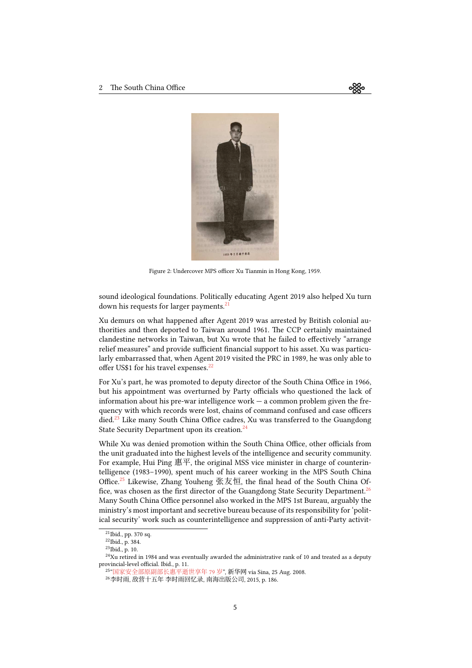<span id="page-4-0"></span>

≪

Figure 2: Undercover MPS officer Xu Tianmin in Hong Kong, 1959.

sound ideological foundations. Politically educating Agent 2019 also helped Xu turn down his requests for larger payments.<sup>[21](#page-4-1)</sup>

Xu demurs on what happened after Agent 2019 was arrested by British colonial authorities and then deported to Taiwan around 1961. The CCP certainly maintained clandestine networks in Taiwan, but Xu wrote that he failed to effectively "arrange relief measures" and provide sufficient financial support to his asset. Xu was particularly embarrassed that, when Agent 2019 visited the PRC in 1989, he was only able to offer US\$1 for his travel expenses.<sup>[22](#page-4-2)</sup>

For Xu's part, he was promoted to deputy director of the South China Office in 1966, but his appointment was overturned by Party officials who questioned the lack of information about his pre-war intelligence work — a common problem given the frequency with which records were lost, chains of command confused and case officers died.<sup>[23](#page-4-3)</sup> Like many South China Office cadres, Xu was transferred to the Guangdong State Security Department upon its creation.<sup>[24](#page-4-4)</sup>

While Xu was denied promotion within the South China Office, other officials from the unit graduated into the highest levels of the intelligence and security community. For example, Hui Ping 惠平, the original MSS vice minister in charge of counterintelligence (1983–1990), spent much of his career working in the MPS South China Office.<sup>[25](#page-4-5)</sup> Likewise, Zhang Youheng 张友恒, the final head of the South China Of-fice, was chosen as the first director of the Guangdong State Security Department.<sup>[26](#page-4-6)</sup> Many South China Office personnel also worked in the MPS 1st Bureau, arguably the ministry's most important and secretive bureau because of its responsibility for 'political security' work such as counterintelligence and suppression of anti-Party activit-

<span id="page-4-1"></span><sup>21</sup>Ibid., pp. 370 sq.

<span id="page-4-2"></span><sup>22</sup>Ibid., p. 384.

<span id="page-4-4"></span><span id="page-4-3"></span><sup>23</sup>Ibid., p. 10.

 $24$ Xu retired in 1984 and was eventually awarded the administrative rank of 10 and treated as a deputy provincial-level official. Ibid., p. 11.

<span id="page-4-5"></span><sup>25</sup> "[国家安全部原副部长惠平逝世享年](https://archive.ph/EghTu) 79 岁", 新华网 via Sina, 25 Aug. 2008.

<span id="page-4-6"></span><sup>26</sup>李时雨, 敌营十五年 李时雨回忆录, 南海出版公司, 2015, p. 186.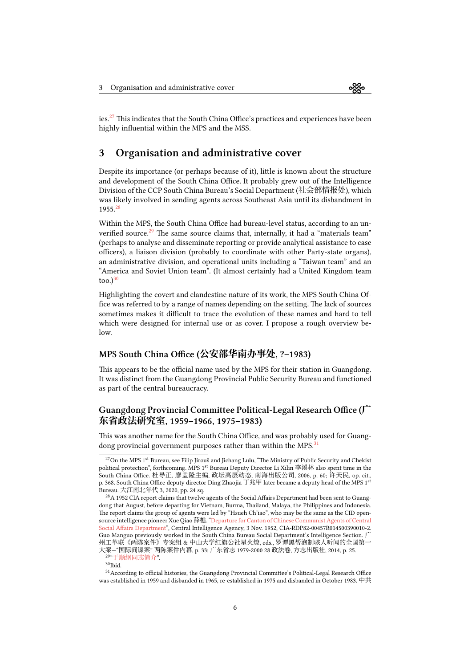

ies.[27](#page-5-0) This indicates that the South China Office's practices and experiences have been highly influential within the MPS and the MSS.

## 3 Organisation and administrative cover

Despite its importance (or perhaps because of it), little is known about the structure and development of the South China Office. It probably grew out of the Intelligence Division of the CCP South China Bureau's Social Department (社会部情报处), which was likely involved in sending agents across Southeast Asia until its disbandment in 1955.[28](#page-5-1)

Within the MPS, the South China Office had bureau-level status, according to an un-verified source.<sup>[29](#page-5-2)</sup> The same source claims that, internally, it had a "materials team" (perhaps to analyse and disseminate reporting or provide analytical assistance to case officers), a liaison division (probably to coordinate with other Party-state organs), an administrative division, and operational units including a "Taiwan team" and an "America and Soviet Union team". (It almost certainly had a United Kingdom team  $to$ <sub>0</sub>.)<sup>[30](#page-5-3)</sup>

Highlighting the covert and clandestine nature of its work, the MPS South China Office was referred to by a range of names depending on the setting. The lack of sources sometimes makes it difficult to trace the evolution of these names and hard to tell which were designed for internal use or as cover. I propose a rough overview below.

#### MPS South China Office (**公安部华南办事处**, ?–1983)

This appears to be the official name used by the MPS for their station in Guangdong. It was distinct from the Guangdong Provincial Public Security Bureau and functioned as part of the central bureaucracy.

#### Guangdong Provincial Committee Political-Legal Research Office (**广 东省政法研究室**, 1959–1966, 1975–1983)

This was another name for the South China Office, and was probably used for Guang-dong provincial government purposes rather than within the MPS.<sup>[31](#page-5-4)</sup>

<span id="page-5-0"></span><sup>&</sup>lt;sup>27</sup>On the MPS 1<sup>st</sup> Bureau, see Filip Jirouš and Jichang Lulu, "The Ministry of Public Security and Chekist political protection", forthcoming. MPS 1<sup>st</sup> Bureau Deputy Director Li Xilin 李溪林 also spent time in the South China Office. 杜导正, 廖盖隆主编, 政坛高层动态, 南海出版公司, 2006, p. 60; 许天民, op. cit., p. 368. South China Office deputy director Ding Zhaojia 丁兆甲 later became a deputy head of the MPS 1<sup>st</sup> Bureau. 大江南北年代 3, 2020, pp. 24 sq.

<span id="page-5-1"></span><sup>&</sup>lt;sup>28</sup> A 1952 CIA report claims that twelve agents of the Social Affairs Department had been sent to Guangdong that August, before departing for Vietnam, Burma, Thailand, Malaya, the Philippines and Indonesia. The report claims the group of agents were led by "Hsueh Ch'iao", who may be the same as the CID opensource intelligence pioneer Xue Qiao 薛樵. ["Departure for Canton of Chinese Communist Agents of Central](https://www.cia.gov/readingroom/docs/CIA-RDP82-00457R014500390010-2.pdf) [Social Affairs Department"](https://www.cia.gov/readingroom/docs/CIA-RDP82-00457R014500390010-2.pdf), Central Intelligence Agency, 3 Nov. 1952, CIA-RDP82-00457R014500390010-2. Guo Manguo previously worked in the South China Bureau Social Department's Intelligence Section. 广 州工革联《两陈案件》专案组 & 中山大学红旗公社星火燎, eds., 罗谭黑帮泡制骇人听闻的全国第一 大案—"国际间谍案" 两陈案件内幕, p. 33; 广东省志 1979-2000 28 政法卷, 方志出版社, 2014, p. 25.

<span id="page-5-2"></span><sup>29</sup> "[于顺纲同志简介](https://archive.ph/gDGjB)".

<span id="page-5-4"></span><span id="page-5-3"></span> $30$ Ibid.

<sup>31</sup>According to official histories, the Guangdong Provincial Committee's Political-Legal Research Office was established in 1959 and disbanded in 1965, re-established in 1975 and disbanded in October 1983. 中共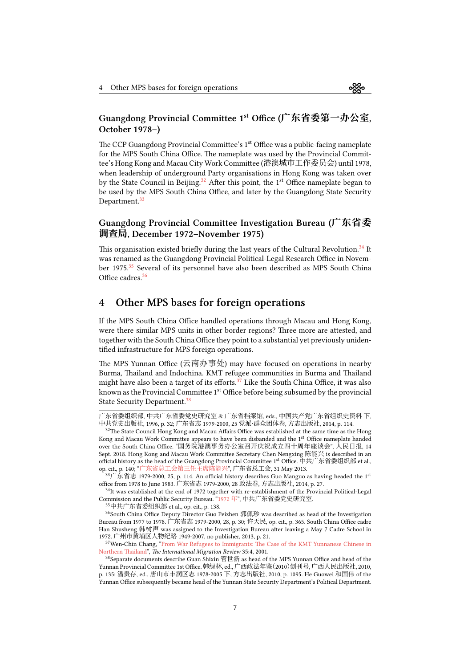## Guangdong Provincial Committee 1st Office (**广东省委第一办公室**, October 1978–)

The CCP Guangdong Provincial Committee's 1<sup>st</sup> Office was a public-facing nameplate for the MPS South China Office. The nameplate was used by the Provincial Committee's Hong Kong and Macau City Work Committee (港澳城市工作委员会) until 1978, when leadership of underground Party organisations in Hong Kong was taken over by the State Council in Beijing.<sup>[32](#page-6-0)</sup> After this point, the  $1<sup>st</sup>$  Office nameplate began to be used by the MPS South China Office, and later by the Guangdong State Security Department.<sup>[33](#page-6-1)</sup>

### Guangdong Provincial Committee Investigation Bureau (**广东省委 调查局**, December 1972–November 1975)

This organisation existed briefly during the last years of the Cultural Revolution.<sup>[34](#page-6-2)</sup> It was renamed as the Guangdong Provincial Political-Legal Research Office in Novem-ber 1975.<sup>[35](#page-6-3)</sup> Several of its personnel have also been described as MPS South China Office cadres.<sup>[36](#page-6-4)</sup>

## 4 Other MPS bases for foreign operations

If the MPS South China Office handled operations through Macau and Hong Kong, were there similar MPS units in other border regions? Three more are attested, and together with the South China Office they point to a substantial yet previously unidentified infrastructure for MPS foreign operations.

The MPS Yunnan Office (云南办事处) may have focused on operations in nearby Burma, Thailand and Indochina. KMT refugee communities in Burma and Thailand might have also been a target of its efforts.<sup>[37](#page-6-5)</sup> Like the South China Office, it was also known as the Provincial Committee 1<sup>st</sup> Office before being subsumed by the provincial State Security Department.<sup>[38](#page-6-6)</sup>

<span id="page-6-4"></span><span id="page-6-3"></span><sup>35</sup>中共广东省委组织部 et al., op. cit., p. 138.

广东省委组织部, 中共广东省委党史研究室 & 广东省档案馆, eds., 中国共产党广东省组织史资料 下, 中共党史出版社, 1996, p. 32; 广东省志 1979-2000, 25 党派·群众团体卷, 方志出版社, 2014, p. 114.

<span id="page-6-0"></span><sup>&</sup>lt;sup>32</sup>The State Council Hong Kong and Macau Affairs Office was established at the same time as the Hong Kong and Macau Work Committee appears to have been disbanded and the 1<sup>st</sup> Office nameplate handed over the South China Office. "国务院港澳事务办公室召开庆祝成立四十周年座谈会", 人民日报, 14 Sept. 2018. Hong Kong and Macau Work Committee Secretary Chen Nengxing 陈能兴 is described in an official history as the head of the Guangdong Provincial Committee 1st Office. 中共广东省委组织部 et al., op. cit., p. 140; "[广东省总工会第三任主席陈能兴](https://web.archive.org/web/20190306042846/http://www.gdftu.org.cn/zghd/gdgh/hhzj/201305/t20130531_390093.htm.)", 广东省总工会, 31 May 2013.

<span id="page-6-1"></span> $^{33}\Gamma$ 东省志 1979-2000, 25, p. 114. An official history describes Guo Manguo as having headed the 1st office from 1978 to June 1983. 广东省志 1979-2000, 28 政法卷, 方志出版社, 2014, p. 27.

<span id="page-6-2"></span><sup>&</sup>lt;sup>34</sup>It was established at the end of 1972 together with re-establishment of the Provincial Political-Legal Commission and the Public Security Bureau."[1972](https://archive.ph/ngV3L) 年", 中共广东省委党史研究室.

<sup>&</sup>lt;sup>36</sup>South China Office Deputy Director Guo Peizhen 郭佩珍 was described as head of the Investigation Bureau from 1977 to 1978. 广东省志 1979-2000, 28, p. 30; 许天民, op. cit., p. 365. South China Office cadre Han Shusheng 韩树声 was assigned to the Investigation Bureau after leaving a May 7 Cadre School in 1972. 广州市黄埔区人物纪略 1949-2007, no publisher, 2013, p. 21.

<span id="page-6-5"></span><sup>&</sup>lt;sup>37</sup>Wen-ChinChang, "[From War Refugees to Immigrants: The Case of the KMT Yunnanese Chinese in](https://www.jstor.org/stable/3092003) [Northern Thailand](https://www.jstor.org/stable/3092003)", The International Migration Review 35:4, 2001.

<span id="page-6-6"></span> $38$ Separate documents describe Guan Shixin 管世新 as head of the MPS Yunnan Office and head of the Yunnan Provincial Committee 1st Office. 韩绿林, ed., 广西政法年鉴(2010)创刊号, 广西人民出版社, 2010, p. 135; 潘贵存, ed., 唐山市丰润区志 1978-2005 下, 方志出版社, 2010, p. 1095. He Guowei 和国伟 of the Yunnan Office subsequently became head of the Yunnan State Security Department's Political Department.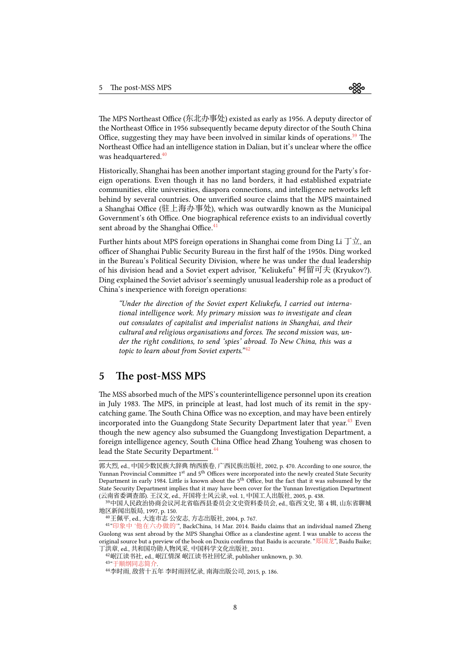The MPS Northeast Office (东北办事处) existed as early as 1956. A deputy director of the Northeast Office in 1956 subsequently became deputy director of the South China Office, suggesting they may have been involved in similar kinds of operations.<sup>[39](#page-7-0)</sup> The Northeast Office had an intelligence station in Dalian, but it's unclear where the office was headquartered.<sup>[40](#page-7-1)</sup>

Historically, Shanghai has been another important staging ground for the Party's foreign operations. Even though it has no land borders, it had established expatriate communities, elite universities, diaspora connections, and intelligence networks left behind by several countries. One unverified source claims that the MPS maintained a Shanghai Office (驻上海办事处), which was outwardly known as the Municipal Government's 6th Office. One biographical reference exists to an individual covertly sent abroad by the Shanghai Office.<sup>[41](#page-7-2)</sup>

Further hints about MPS foreign operations in Shanghai come from Ding Li  $\Box \vec{x}$ , an officer of Shanghai Public Security Bureau in the first half of the 1950s. Ding worked in the Bureau's Political Security Division, where he was under the dual leadership of his division head and a Soviet expert advisor, "Keliukefu" 柯留可夫 (Kryukov?). Ding explained the Soviet advisor's seemingly unusual leadership role as a product of China's inexperience with foreign operations:

"Under the direction of the Soviet expert Keliukefu, I carried out international intelligence work. My primary mission was to investigate and clean out consulates of capitalist and imperialist nations in Shanghai, and their cultural and religious organisations and forces. The second mission was, under the right conditions, to send 'spies' abroad. To New China, this was a topic to learn about from Soviet experts." $42$ 

### 5 The post-MSS MPS

The MSS absorbed much of the MPS's counterintelligence personnel upon its creation in July 1983. The MPS, in principle at least, had lost much of its remit in the spycatching game. The South China Office was no exception, and may have been entirely incorporated into the Guangdong State Security Department later that year.[43](#page-7-4) Even though the new agency also subsumed the Guangdong Investigation Department, a foreign intelligence agency, South China Office head Zhang Youheng was chosen to lead the State Security Department.<sup>[44](#page-7-5)</sup>

郭大烈, ed., 中国少数民族大辞典 纳西族卷, 广西民族出版社, 2002, p. 470. According to one source, the Yunnan Provincial Committee 1<sup>st</sup> and 5<sup>th</sup> Offices were incorporated into the newly created State Security Department in early 1984. Little is known about the  $5<sup>th</sup>$  Office, but the fact that it was subsumed by the State Security Department implies that it may have been cover for the Yunnan Investigation Department (云南省委调查部). 王汉文, ed., 开国将士风云录, vol. 1, 中国工人出版社, 2005, p. 438.

<span id="page-7-0"></span><sup>39</sup>中国人民政治协商会议河北省临西县委员会文史资料委员会, ed., 临西文史, 第 4 辑, 山东省聊城 地区新闻出版局, 1997, p. 150.

<span id="page-7-2"></span><span id="page-7-1"></span><sup>40</sup>王佩平, ed., 大连市志 公安志, 方志出版社, 2004, p. 767.

<sup>41</sup> "印象中 '[他在六办做的](https://archive.ph/DJ2QS)'", BackChina, 14 Mar. 2014. Baidu claims that an individual named Zheng Guolong was sent abroad by the MPS Shanghai Office as a clandestine agent. I was unable to access the original source but a preview of the book on Duxiu confirms that Baidu is accurate. "[郑国龙](https://archive.ph/NWfwI)", Baidu Baike; 丁洪章, ed., 共和国功勋人物风采, 中国科学文化出版社, 2011.

<span id="page-7-3"></span><sup>42</sup>岷江读书社, ed., 岷江情深 岷江读书社回忆录, publisher unknown, p. 30.

<span id="page-7-4"></span><sup>43</sup> "[于顺纲同志简介](https://archive.ph/gDGjB).

<span id="page-7-5"></span><sup>44</sup>李时雨, 敌营十五年 李时雨回忆录, 南海出版公司, 2015, p. 186.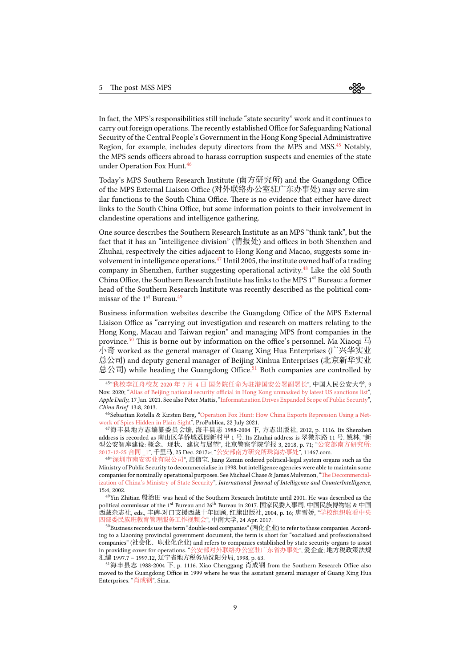In fact, the MPS's responsibilities still include "state security" work and it continues to carry out foreign operations.The recently established Office for Safeguarding National Security of the Central People's Government in the Hong Kong Special Administrative Region, for example, includes deputy directors from the MPS and MSS.<sup>[45](#page-8-0)</sup> Notably, the MPS sends officers abroad to harass corruption suspects and enemies of the state under Operation Fox Hunt.<sup>[46](#page-8-1)</sup>

Today's MPS Southern Research Institute (南方研究所) and the Guangdong Office of the MPS External Liaison Office (对外联络办公室驻广东办事处) may serve similar functions to the South China Office. There is no evidence that either have direct links to the South China Office, but some information points to their involvement in clandestine operations and intelligence gathering.

One source describes the Southern Research Institute as an MPS "think tank", but the fact that it has an "intelligence division" (情报处) and offices in both Shenzhen and Zhuhai, respectively the cities adjacent to Hong Kong and Macao, suggests some in-volvement in intelligence operations.<sup>[47](#page-8-2)</sup> Until 2005, the institute owned half of a trading company in Shenzhen, further suggesting operational activity.<sup>[48](#page-8-3)</sup> Like the old South China Office, the Southern Research Institute has links to the MPS 1<sup>st</sup> Bureau: a former head of the Southern Research Institute was recently described as the political com-missar of the 1<sup>st</sup> Bureau.<sup>[49](#page-8-4)</sup>

Business information websites describe the Guangdong Office of the MPS External Liaison Office as "carrying out investigation and research on matters relating to the Hong Kong, Macau and Taiwan region" and managing MPS front companies in the province.<sup>[50](#page-8-5)</sup> This is borne out by information on the office's personnel. Ma Xiaoqi  $\frac{\pi}{2}$ 小奇 worked as the general manager of Guang Xing Hua Enterprises (广兴华实业 总公司) and deputy general manager of Beijing Xinhua Enterprises (北京新华实业 总公司) while heading the Guangdong Office.<sup>[51](#page-8-6)</sup> Both companies are controlled by

<span id="page-8-0"></span>45 "我校李江舟校友 2020 年 7 月 4 [日 国务院任命为驻港国安公署副署长](http://web.archive.org/web/20210323122202/https://xiaoyou.ppsuc.edu.cn/info/1072/1747.htm)", 中国人民公安大学, 9 Nov. 2020; ["Alias of Beijing national security official in Hong Kong unmasked by latest US sanctions list](http://web.archive.org/web/20210117030833/https://hk.appledaily.com/news/20210117/36DPQQWWK5HNVIZTE5FAP6NDCQ/.)", Apple Daily, 17 Jan. 2021. See also Peter Mattis, ["Informatization Drives Expanded Scope of Public Security](https://jamestown.org/program/informatization-drives-expanded-scope-of-public-security/)", China Brief 13:8, 2013.

<span id="page-8-1"></span> $^{46}\rm{Sebastian}$ Rotella & Kirsten Berg, "[Operation Fox Hunt: How China Exports Repression Using a Net](https://www.propublica.org/article/operation-fox-hunt-how-china-exports-repression-using-a-network-of-spies-hidden-in-plain-sight)[work of Spies Hidden in Plain Sight"](https://www.propublica.org/article/operation-fox-hunt-how-china-exports-repression-using-a-network-of-spies-hidden-in-plain-sight), ProPublica, 22 July 2021.

<span id="page-8-2"></span><sup>47</sup>海丰县地方志编纂委员会编, 海丰县志 1988-2004 下, 方志出版社, 2012, p. 1116. Its Shenzhen address is recorded as 南山区华侨城荔园新村甲 1 号. Its Zhuhai address is 翠微东路 11 号. 姚林, "新 型公安智库建设: 概念、现状、建议与展望", 北京警察学院学报 3, 2018, p. 71; "[公安部南方研究所](https://web.archive.org/web/20220124233651/http://www.qianlima.com/zb/detail/20171226_74502309.html): [2017-12-25](https://web.archive.org/web/20220124233651/http://www.qianlima.com/zb/detail/20171226_74502309.html) 合同 \_1", 千里马, 25 Dec. 2017>; "[公安部南方研究所珠海办事处](https://archive.ph/iGNMx)", 11467.com.

<span id="page-8-3"></span>48 "[深圳市南安实业有限公司](https://archive.ph/xh7Zc)", 启信宝. Jiang Zemin ordered political-legal system organs such as the Ministry of Public Security to decommercialise in 1998, but intelligence agencies were able to maintain some companies for nominally operational purposes. See Michael Chase & James Mulvenon, ["The Decommercial](https://www.tandfonline.com/doi/abs/10.1080/08850600290101730)[ization of China's Ministry of State Security](https://www.tandfonline.com/doi/abs/10.1080/08850600290101730)", International Journal of Intelligence and CounterIntelligence, 15:4, 2002.

<span id="page-8-4"></span><sup>49</sup>Yin Zhitian 殷治田 was head of the Southern Research Institute until 2001. He was described as the political commissar of the 1<sup>st</sup> Bureau and 26<sup>th</sup> Bureau in 2017. 国家民委人事司, 中国民族博物馆 & 中国 西藏杂志社, eds., 丰碑-对口支援西藏十年回顾, 红旗出版社, 2004, p. 16; 唐雪娇, "[学校组织收看中央](https://archive.ph/N4h4u) [四部委民族班教育管理服务工作视频会](https://archive.ph/N4h4u)", 中南大学, 24 Apr. 2017.

<span id="page-8-5"></span> $^{50}$ Business records use the term "double-ised companies" (两化企业) to refer to these companies. According to a Liaoning provincial government document, the term is short for "socialised and professionalised companies" (社会化、职业化企业) and refers to companies established by state security organs to assist in providing cover for operations. "[公安部对外联络办公室驻广东省办事处](https://archive.ph/5EPzY)", 爱企查; 地方税政策法规 --- --------- *。*<br>汇编 1997.7 - 1997.12, 辽宁省地方税务局沈阳分局, 1998, p. 63.

<span id="page-8-6"></span><sup>51</sup>海丰县志 1988-2004 下, p. 1116. Xiao Chenggang 肖成钢 from the Southern Research Office also moved to the Guangdong Office in 1999 where he was the assistant general manager of Guang Xing Hua Enterprises. "[肖成钢](https://archive.ph/2SK0A)", Sina.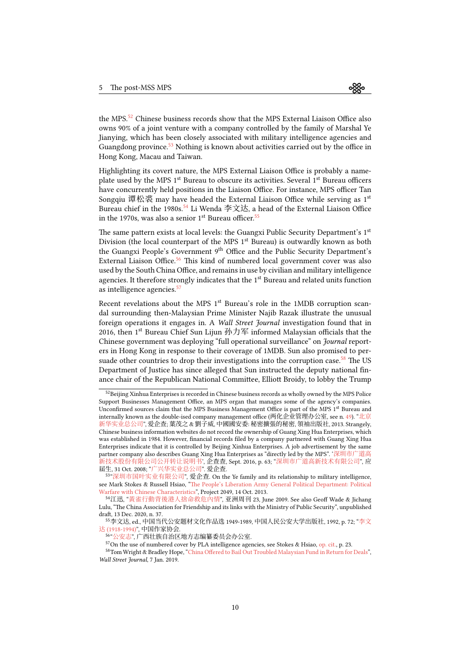the MPS.<sup>[52](#page-9-0)</sup> Chinese business records show that the MPS External Liaison Office also owns 90% of a joint venture with a company controlled by the family of Marshal Ye Jianying, which has been closely associated with military intelligence agencies and Guangdong province.<sup>[53](#page-9-1)</sup> Nothing is known about activities carried out by the office in Hong Kong, Macau and Taiwan.

Highlighting its covert nature, the MPS External Liaison Office is probably a nameplate used by the MPS  $1<sup>st</sup>$  Bureau to obscure its activities. Several  $1<sup>st</sup>$  Bureau officers have concurrently held positions in the Liaison Office. For instance, MPS officer Tan Songqiu 谭松裘 may have headed the External Liaison Office while serving as  $1<sup>st</sup>$ Bureau chief in the 1980s.<sup>[54](#page-9-2)</sup> Li Wenda 李文达, a head of the External Liaison Office in the 1970s, was also a senior  $1<sup>st</sup>$  Bureau officer.<sup>[55](#page-9-3)</sup>

The same pattern exists at local levels: the Guangxi Public Security Department's 1<sup>st</sup> Division (the local counterpart of the MPS  $1<sup>st</sup>$  Bureau) is outwardly known as both the Guangxi People's Government 9th Office and the Public Security Department's External Liaison Office. $56$  This kind of numbered local government cover was also used by the South China Office, and remains in use by civilian and military intelligence agencies. It therefore strongly indicates that the  $1<sup>st</sup>$  Bureau and related units function as intelligence agencies.<sup>[57](#page-9-5)</sup>

Recent revelations about the MPS 1<sup>st</sup> Bureau's role in the 1MDB corruption scandal surrounding then-Malaysian Prime Minister Najib Razak illustrate the unusual foreign operations it engages in. A *Wall Street Journal* investigation found that in 2016, then 1<sup>st</sup> Bureau Chief Sun Lijun 孙力军 informed Malaysian officials that the Chinese government was deploying "full operational surveillance" on Journal reporters in Hong Kong in response to their coverage of 1MDB. Sun also promised to per-suade other countries to drop their investigations into the corruption case.<sup>[58](#page-9-6)</sup> The US Department of Justice has since alleged that Sun instructed the deputy national finance chair of the Republican National Committee, Elliott Broidy, to lobby the Trump

<span id="page-9-0"></span><sup>&</sup>lt;sup>52</sup>Beijing Xinhua Enterprises is recorded in Chinese business records as wholly owned by the MPS Police Support Businesses Management Office, an MPS organ that manages some of the agency's companies. Unconfirmed sources claim that the MPS Business Management Office is part of the MPS 1<sup>st</sup> Bureau and internally known as the double-ised company management office (两化企业管理办公室, see n. [49\)](#page-8-4). "[北京](https://archive.ph/k99hz) [新华实业总公司](https://archive.ph/k99hz)", 爱企查; 葉茂之 & 劉子威, 中國國安委: 秘密擴張的秘密, 領袖出版社, 2013. Strangely, Chinese business information websites do not record the ownership of Guang Xing Hua Enterprises, which was established in 1984. However, financial records filed by a company partnered with Guang Xing Hua Enterprises indicate that it is controlled by Beijing Xinhua Enterprises. A job advertisement by the same partner company also describes Guang Xing Hua Enterprises as "directly led by the MPS". '[深圳市广道高](http://qccdata.qichacha.com/ReportData/PDF/c73df015e75ca6fd0cbbeba922ac5d6d.pdf) [新技术股份有限公司公开转让说明书](http://qccdata.qichacha.com/ReportData/PDF/c73df015e75ca6fd0cbbeba922ac5d6d.pdf)', 企查查, Sept. 2016, p. 63; "[深圳市广道高新技术有限公司](https://archive.ph/a5Nbb)", 应 届生, 31 Oct. 2008; "[广兴华实业总公司](https://archive.fo/K9vON)". 爱企查.

<span id="page-9-1"></span><sup>53</sup> "[深圳市国叶实业有限公司](https://archive.ph/SQani)", 爱企查. On the Ye family and its relationship to military intelligence, see Mark Stokes & Russell Hsiao, ["The People's Liberation Army General Political Department: Political](https://project2049.net/2013/10/14/the-peoples-liberation-army-general-political-department-political-warfare-with-chinese-characteristics/) [Warfare with Chinese Characteristics"](https://project2049.net/2013/10/14/the-peoples-liberation-army-general-political-department-political-warfare-with-chinese-characteristics/), Project 2049, 14 Oct. 2013.

<span id="page-9-2"></span><sup>54</sup>江迅, "[黃雀行動背後港人捨命救危內情](https://web.archive.org/web/20090608164141/www.yzzk.com/cfm/Content_Archive.cfm?Channel=ae&Path=241276811/23ae1a.cfm)", 亚洲周刊 23, June 2009. See also Geoff Wade & Jichang Lulu, "The China Association for Friendship and its links with the Ministry of Public Security", unpublished draft, 13 Dec. 2020, n. 37.

<span id="page-9-3"></span><sup>55</sup>李文达, ed., 中国当代公安题材文化作品选 1949-1989, 中国人民公安大学出版社, 1992, p. 72; "[李文](http://web.archive.org/web/20150206035943/www.chinawriter.com.cn/zxhy/member/2394.shtml)

达 [\(1918-1994\)"](http://web.archive.org/web/20150206035943/www.chinawriter.com.cn/zxhy/member/2394.shtml), 中国作家协会. 56 "[公安志](https://archive.ph/bzSZr)", 广西壮族自治区地方志编纂委员会办公室.

<span id="page-9-6"></span><span id="page-9-5"></span><span id="page-9-4"></span><sup>&</sup>lt;sup>57</sup>On the use of numbered cover by PLA intelligence agencies, see Stokes & Hsiao, [op. cit.](https://project2049.net/2013/10/14/the-peoples-liberation-army-general-political-department-political-warfare-with-chinese-characteristics/), p. 23.

<sup>58</sup>Tom Wright & Bradley Hope, ["China Offered to Bail Out Troubled Malaysian Fund in Return for Deals](https://www.wsj.com/articles/how-china-flexes-its-political-muscle-to-expand-power-overseas-11546890449)", Wall Street Journal, 7 Jan. 2019.